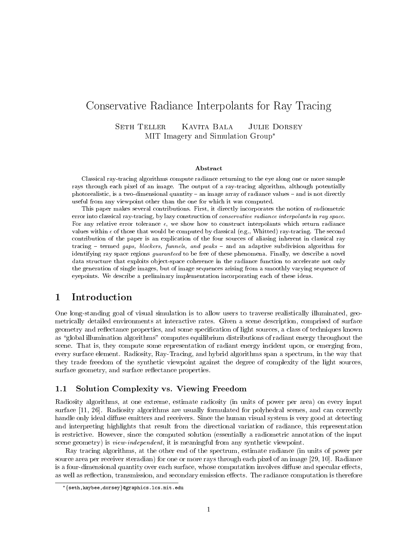# Conservative Radiance Interpreted for Ray Tracing for Ray Tracing the Conservation of Ray Tracing for Ray Tracing for Ray Tracing for Ray Tracing for Ray Tracing for Ray Tracing for Ray Tracing for Ray Tracing for Ray Trac

Seth Teller Kavita Bala Julie Dorsey MIT Imagery and Simulation Group

### Abstract

Classical ray-tracing algorithms compute radiance returning to the eye along one or more sample rays through each pixel of an image. The output of a ray-tracing algorithm, although potentially photorealistic, is a two-dimensional quantity  $-$  an image array of radiance values  $-$  and is not directly useful from any viewpoint other than the one for which it was computed.

This paper makes several contributions. First, it directly incorporates the notion of radiometric error into classical ray-tracing, by lazy construction of conservative radiance interpolants in ray space. For any relative error tolerance  $\epsilon$ , we show how to construct interpolants which return radiance values within  $\epsilon$  of those that would be computed by classical (e.g., Whitted) ray-tracing. The second contribution of the paper is an explication of the four sources of aliasing inherent in classical ray tracing  $-$  termed gaps, blockers, funnels, and peaks  $-$  and an adaptive subdivision algorithm for identifying ray space regions *quaranteed* to be free of these phenomena. Finally, we describe a novel data structure that exploits object-space coherence in the radiance function to accelerate not only the generation of single images, but of image sequences arising from a smoothly varying sequence of eyepoints. We describe a preliminary implementation incorporating each of these ideas.

#### **Introduction** 1

One long-standing goal of visual simulation is to allow users to traverse realistically illuminated, geometrically detailed environments at interactive rates. Given a scene description, comprised of surface geometry and re
ectance properties, and some specication of light sources, a class of techniques known as "global illumination algorithms" computes equilibrium distributions of radiant energy throughout the scene. That is, they compute some representation of radiant energy incident upon, or emerging from, every surface element. Radiosity, Ray-Tracing, and hybrid algorithms span a spectrum, in the way that they trade freedom of the synthetic viewpoint against the degree of complexity of the light sources, surface geometry, and surface reflectance properties.

### 1.1 Solution Complexity vs. Viewing Freedom

Radiosity algorithms, at one extreme, estimate radiosity (in units of power per area) on every input surface [11, 26]. Radiosity algorithms are usually formulated for polyhedral scenes, and can correctly handle only ideal diffuse emitters and receivers. Since the human visual system is very good at detecting and interpreting highlights that result from the directional variation of radiance, this representation is restrictive. However, since the computed solution (essentially a radiometric annotation of the input scene geometry) is *view-independent*, it is meaningful from any synthetic viewpoint.

Ray tracing algorithms, at the other end of the spectrum, estimate radiance (in units of power per source area per receiver steradian) for one or more rays through each pixel of an image [29, 10]. Radiance is a four-dimensional quantity over each surface, whose computation involves diffuse and specular effects, as well as reflection, transmission, and secondary emission effects. The radiance computation is therefore

 $\texttt{``} \{ \texttt{seth}, \texttt{kaybee}, \texttt{dorsey} \} \texttt{@graphics.lcs.mit.edu}$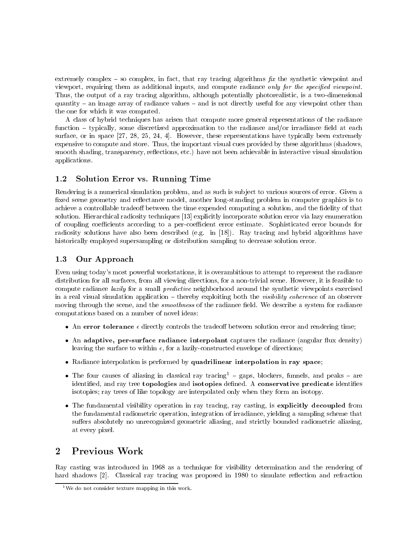extremely complex  $-$  so complex, in fact, that ray tracing algorithms  $\hbar x$  the synthetic viewpoint and viewport, requiring them as additional inputs, and compute radiance only for the specified viewpoint. Thus, the output of a ray tracing algorithm, although potentially photorealistic, is a two-dimensional quantity  $-$  an image array of radiance values  $-$  and is not directly useful for any viewpoint other than the one for which it was computed.

A class of hybrid techniques has arisen that compute more general representations of the radiance function  $-$  typically, some discretized approximation to the radiance and/or irradiance field at each surface, or in space [27, 28, 25, 24, 4]. However, these representations have typically been extremely expensive to compute and store. Thus, the important visual cues provided by these algorithms (shadows, smooth shading, transparency, reflections, etc.) have not been achievable in interactive visual simulation applications.

#### $1.2$ Solution Error vs. Running Time

Rendering is a numerical simulation problem, and as such is subject to various sources of error. Given a fixed scene geometry and reflectance model, another long-standing problem in computer graphics is to achieve a controllable tradeoff between the time expended computing a solution, and the fidelity of that solution. Hierarchical radiosity techniques [13] explicitly incorporate solution error via lazy enumeration of coupling coefficients according to a per-coefficient error estimate. Sophisticated error bounds for radiosity solutions have also been described (e.g. in [18]). Ray tracing and hybrid algorithms have historically employed supersampling or distribution sampling to decrease solution error.

### 1.3 Our Approach

Even using today's most powerful workstations, it is overambitious to attempt to represent the radiance distribution for all surfaces, from all viewing directions, for a non-trivial scene. However, it is feasible to compute radiance lazily for a small predictive neighborhood around the synthetic viewpoints exercised in a real visual simulation application  $-$  thereby exploiting both the *visibility coherence* of an observer moving through the scene, and the *smoothness* of the radiance field. We describe a system for radiance computations based on a number of novel ideas:

- $\bullet$  An error tolerance  $\epsilon$  directly controls the tradeoff between solution error and rendering time;
- $\bullet$  An adaptive, per-surface radiance interpolant captures the radiance (angular flux density)  $\bullet$ leaving the surface to within  $\epsilon$ , for a lazily-constructed envelope of directions;
- $\bullet$  -Kadiance interpolation is performed by quadrilinear interpolation in ray space;  $\bullet$
- $\bullet$  The four causes of aliasing in classical ray tracing  $-$  gaps, blockers, funnels, and peaks  $-$  are identified, and ray tree topologies and isotopies defined. A conservative predicate identifies isotopies; ray trees of like topology are interpolated only when they form an isotopy.
- $\bullet$  The fundamental visibility operation in ray tracing, ray casting, is  $\exp$ ilcitly decoupled from the fundamental radiometric operation, integration of irradiance, yielding a sampling scheme that suffers absolutely no unrecognized geometric aliasing, and strictly bounded radiometric aliasing, at every pixel.

#### $\overline{2}$ **Previous Work**

Ray casting was introduced in 1968 as a technique for visibility determination and the rendering of hard shadows [2]. Classical ray tracing was proposed in 1980 to simulate reflection and refraction

<sup>&</sup>lt;sup>1</sup>We do not consider texture mapping in this work.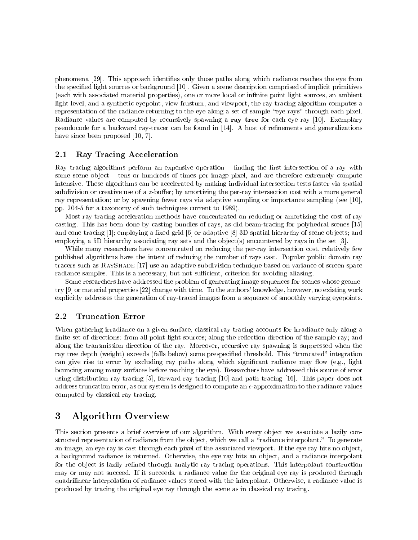phenomena [29]. This approach identies only those paths along which radiance reaches the eye from the specied light sources or background [10]. Given a scene description comprised of implicit primitives (each with associated material properties), one or more local or infinite point light sources, an ambient light level, and a synthetic eyepoint, view frustum, and viewport, the ray tracing algorithm computes a representation of the radiance returning to the eye along a set of sample "eye rays" through each pixel. Radiance values are computed by recursively spawning a ray tree for each eye ray [10]. Exemplary pseudocode for a backward ray-tracer can be found in [14]. A host of renements and generalizations have since been proposed [10, 7].

### 2.1 Ray Tracing Acceleration

Ray tracing algorithms perform an expensive operation  $-$  finding the first intersection of a ray with some scene object  $-$  tens or hundreds of times per image pixel, and are therefore extremely compute intensive. These algorithms can be accelerated by making individual intersection tests faster via spatial subdivision or creative use of a z-buffer; by amortizing the per-ray intersection cost with a more general ray representation; or by spawning fewer rays via adaptive sampling or importance sampling (see [10], pp. 204-5 for a taxonomy of such techniques current to 1989).

Most ray tracing acceleration methods have concentrated on reducing or amortizing the cost of ray casting. This has been done by casting bundles of rays, as did beam-tracing for polyhedral scenes [15] and cone-tracing [1]; employing a fixed-grid [6] or adaptive [8] 3D spatial hierarchy of scene objects; and employing a 5D hierarchy associating ray sets and the object(s) encountered by rays in the set [3].

While many researchers have concentrated on reducing the per-ray intersection cost, relatively few published algorithms have the intent of reducing the number of rays cast. Popular public domain ray tracers such as RayShade [17] use an adaptive subdivision technique based on variance of screen space radiance samples. This is a necessary, but not sufficient, criterion for avoiding aliasing.

Some researchers have addressed the problem of generating image sequences for scenes whose geometry [9] or material properties [22] change with time. To the authors' knowledge, however, no existing work explicitly addresses the generation of ray-traced images from a sequence of smoothly varying eyepoints.

#### $2.2$ **Truncation Error**

When gathering irradiance on a given surface, classical ray tracing accounts for irradiance only along a finite set of directions: from all point light sources; along the reflection direction of the sample ray; and along the transmission direction of the ray. Moreover, recursive ray spawning is suppressed when the ray tree depth (weight) exceeds (falls below) some prespecified threshold. This "truncated" integration can give rise to error by excluding ray paths along which significant radiance may flow (e.g., light bouncing among many surfaces before reaching the eye). Researchers have addressed this source of error using distribution ray tracing [5], forward ray tracing [10] and path tracing [16]. This paper does not address truncation error, as our system is designed to compute an  $\epsilon$ -approximation to the radiance values computed by classical ray tracing.

## 3 Algorithm Overview

This section presents a brief overview of our algorithm. With every object we associate a lazily constructed representation of radiance from the object, which we call a "radiance interpolant." To generate an image, an eye ray is cast through each pixel of the associated viewport. If the eye ray hits no ob ject, a background radiance is returned. Otherwise, the eye ray hits an ob ject, and a radiance interpolant for the object is lazily refined through analytic ray tracing operations. This interpolant construction may or may not succeed. If it succeeds, a radiance value for the original eye ray is produced through quadrilinear interpolation of radiance values stored with the interpolant. Otherwise, a radiance value is produced by tracing the original eye ray through the scene as in classical ray tracing.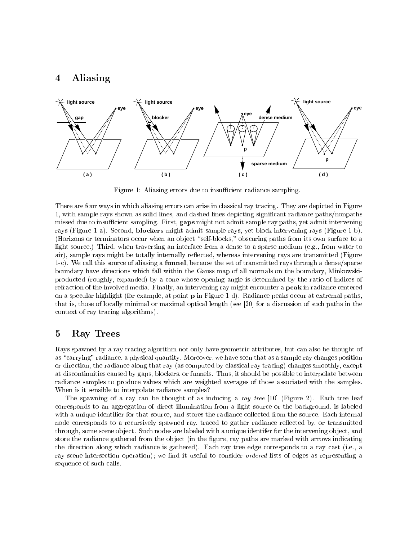#### **Aliasing**  $\overline{\mathbf{4}}$



Figure 1: Aliasing errors due to insufficient radiance sampling.

There are four ways in which aliasing errors can arise in classical ray tracing. They are depicted in Figure 1, with sample rays shown as solid lines, and dashed lines depicting signicant radiance paths/nonpaths missed due to insufficient sampling. First, gaps might not admit sample ray paths, yet admit intervening rays (Figure 1-a). Second, blockers might admit sample rays, yet block intervening rays (Figure 1-b). (Horizons or terminators occur when an object "self-blocks," obscuring paths from its own surface to a light source.) Third, when traversing an interface from a dense to a sparse medium (e.g., from water to air), sample rays might be totally internally reflected, whereas intervening rays are transmitted (Figure 1-c). We call this source of aliasing a **funnel**, because the set of transmitted rays through a dense/sparse boundary have directions which fall within the Gauss map of all normals on the boundary, Minkowskiproducted (roughly, expanded) by a cone whose opening angle is determined by the ratio of indices of refraction of the involved media. Finally, an intervening ray might encounter a peak in radiance centered on a specular highlight (for example, at point p in Figure 1-d). Radiance peaks occur at extremal paths, that is, those of locally minimal or maximal optical length (see [20] for a discussion of such paths in the context of ray tracing algorithms).

#### $\overline{5}$ 5 Ray Trees

Rays spawned by a ray tracing algorithm not only have geometric attributes, but can also be thought of as "carrying" radiance, a physical quantity. Moreover, we have seen that as a sample ray changes position or direction, the radiance along that ray (as computed by classical ray tracing) changes smoothly, except at discontinuities caused by gaps, blockers, or funnels. Thus, it should be possible to interpolate between radiance samples to produce values which are weighted averages of those associated with the samples. When is it sensible to interpolate radiance samples?

The spawning of a ray can be thought of as inducing a ray tree  $[10]$  (Figure 2). Each tree leaf corresponds to an aggregation of direct illumination from a light source or the background, is labeled with a unique identifier for that source, and stores the radiance collected from the source. Each internal node corresponds to a recursively spawned ray, traced to gather radiance reflected by, or transmitted through, some scene object. Such nodes are labeled with a unique identifer for the intervening object, and store the radiance gathered from the object (in the figure, ray paths are marked with arrows indicating the direction along which radiance is gathered). Each ray tree edge corresponds to a ray cast (i.e., a ray-scene intersection operation); we find it useful to consider *ordered* lists of edges as representing a sequence of such calls.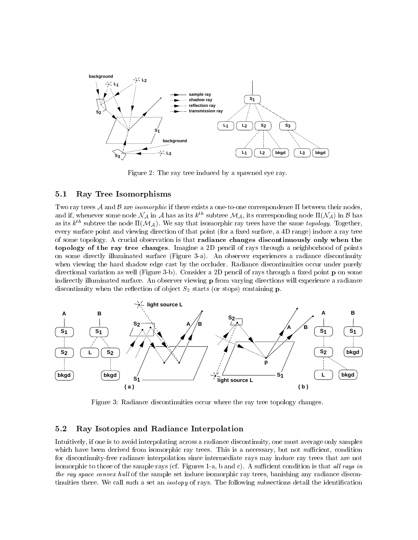

Figure 2: The ray tree induced by a spawned eye ray.

### 5.1 Ray Tree Isomorphisms

Two ray trees A and B are *isomorphic* if there exists a one-to-one correspondence  $\Pi$  between their nodes, and if, whenever some node  $\mathcal{N}_\mathcal{A}$  in A has as its  $k^{th}$  subtree  $\mathcal{M}_\mathcal{A}$ , its corresponding node  $\Pi(\mathcal{N}_\mathcal{A})$  in B has as its  $k^{th}$  subtree the node  $\Pi(\mathcal{M}_{\mathcal{A}})$ . We say that isomorphic ray trees have the same topology. Together, every surface point and viewing direction of that point (for a fixed surface, a 4D range) induce a ray tree of some topology. A crucial observation is that radiance changes discontinuously only when the topology of the ray tree changes. Imagine a 2D pencil of rays through a neighborhood of points on some directly illuminated surface (Figure 3-a). An observer experiences a radiance discontinuity when viewing the hard shadow edge cast by the occluder. Radiance discontinuities occur under purely directional variation as well (Figure 3-b). Consider a 2D pencil of rays through a fixed point  $\bf{p}$  on some indirectly illuminated surface. An observer viewing p from varying directions will experience a radiance discontinuity when the reflection of object  $S_2$  starts (or stops) containing **p**.



Figure 3: Radiance discontinuities occur where the ray tree topology changes.

### 5.2 Ray Isotopies and Radiance Interpolation

Intuitively, if one is to avoid interpolating across a radiance discontinuity, one must average only samples which have been derived from isomorphic ray trees. This is a necessary, but not sufficient, condition for discontinuity-free radiance interpolation since intermediate rays may induce ray trees that are not isomorphic to those of the sample rays (cf. Figures 1-a, b and c). A sufficient condition is that all rays in *the ray space convex half* of the sample set induce isomorphic ray trees, banishing any radiance discontinuities there. We call such a set an *isotopy* of rays. The following subsections detail the identification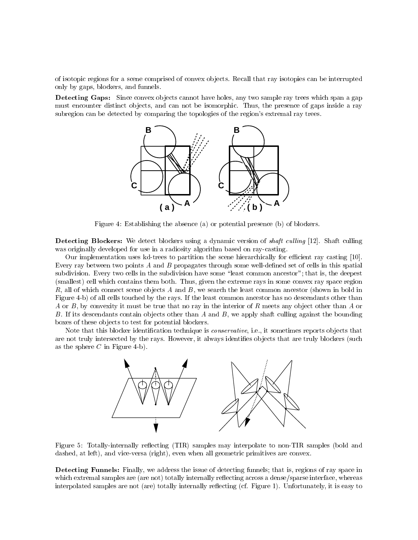of isotopic regions for a scene comprised of convex ob jects. Recall that ray isotopies can be interrupted only by gaps, blockers, and funnels.

Detecting Gaps: Since convex objects cannot have holes, any two sample ray trees which span a gap must encounter distinct objects, and can not be isomorphic. Thus, the presence of gaps inside a ray subregion can be detected by comparing the topologies of the region's extremal ray trees.



Figure 4: Establishing the absence (a) or potential presence (b) of blockers.

**Detecting Blockers:** We detect blockers using a dynamic version of *shaft culling* [12]. Shaft culling was originally developed for use in a radiosity algorithm based on ray-casting.

Our implementation uses kd-trees to partition the scene hierarchically for efficient ray casting [10]. Every ray between two points A and B propagates through some well-dened set of cells in this spatial subdivision. Every two cells in the subdivision have some "least common ancestor"; that is, the deepest (smallest) cell which contains them both. Thus, given the extreme rays in some convex ray space region R, all of which connect scene objects A and B, we search the least common ancestor (shown in bold in Figure 4-b) of all cells touched by the rays. If the least common ancestor has no descendants other than A or B, by convexity it must be true that no ray in the interior of R meets any object other than A or B. If its descendants contain objects other than A and B, we apply shaft culling against the bounding boxes of these objects to test for potential blockers.

Note that this blocker identification technique is *conservative*, i.e., it sometimes reports objects that are not truly intersected by the rays. However, it always identies ob jects that are truly blockers (such as the sphere  $C$  in Figure 4-b).



Figure 5: Totally-internally reflecting (TIR) samples may interpolate to non-TIR samples (bold and dashed, at left), and vice-versa (right), even when all geometric primitives are convex.

Detecting Funnels: Finally, we address the issue of detecting funnels; that is, regions of ray space in which extremal samples are (are not) totally internally reflecting across a dense/sparse interface, whereas interpolated samples are not (are) totally internally reflecting (cf. Figure 1). Unfortunately, it is easy to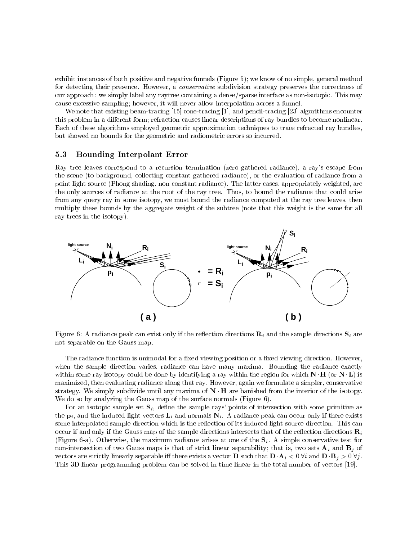exhibit instances of both positive and negative funnels (Figure 5); we know of no simple, general method for detecting their presence. However, a *conservative* subdivision strategy preserves the correctness of our approach: we simply label any raytree containing a dense/sparse interface as non-isotopic. This may cause excessive sampling; however, it will never allow interpolation across a funnel.

We note that existing beam-tracing [15] cone-tracing [1], and pencil-tracing [23] algorithms encounter this problem in a different form; refraction causes linear descriptions of ray bundles to become nonlinear. Each of these algorithms employed geometric approximation techniques to trace refracted ray bundles, but showed no bounds for the geometric and radiometric errors so incurred.

### 5.3 Bounding Interpolant Error

Ray tree leaves correspond to a recursion termination (zero gathered radiance), a ray's escape from the scene (to background, collecting constant gathered radiance), or the evaluation of radiance from a point light source (Phong shading, non-constant radiance). The latter cases, appropriately weighted, are the only sources of radiance at the root of the ray tree. Thus, to bound the radiance that could arise from any query ray in some isotopy, we must bound the radiance computed at the ray tree leaves, then multiply these bounds by the aggregate weight of the subtree (note that this weight is the same for all ray trees in the isotopy).



Figure 6: A radiance peak can exist only if the reflection directions  $\mathbf{R}_i$  and the sample directions  $\mathbf{S}_i$  are not separable on the Gauss map.

The radiance function is unimodal for a fixed viewing position or a fixed viewing direction. However, when the sample direction varies, radiance can have many maxima. Bounding the radiance exactly within some ray isotopy could be done by identifying a ray within the region for which  $N\cdot H$  (or  $N\cdot L$ ) is maximized, then evaluating radiance along that ray. However, again we formulate a simpler, conservative strategy. We simply subdivide until any maxima of  $N \cdot H$  are banished from the interior of the isotopy. We do so by analyzing the Gauss map of the surface normals (Figure 6).

For an isotopic sample set  $S_i$ , define the sample rays' points of intersection with some primitive as the  $p_i$ , and the induced light vectors  $L_i$  and normals  $N_i$ . A radiance peak can occur only if there exists some interpolated sample direction which is the reflection of its induced light source direction. This can occur if and only if the Gauss map of the sample directions intersects that of the reflection directions  $\mathbf{R}_i$ (Figure 6-a). Otherwise, the maximum radiance arises at one of the  $S_i$ . A simple conservative test for non-intersection of two Gauss maps is that of strict linear separability; that is, two sets  $A_i$  and  $B_j$  of vectors are strictly linearly separable iff there exists a vector **D** such that  $\mathbf{D} \cdot \mathbf{A}_i < 0 \ \forall i$  and  $\mathbf{D} \cdot \mathbf{B}_j > 0 \ \forall j$ . This 3D linear programming problem can be solved in time linear in the total number of vectors [19].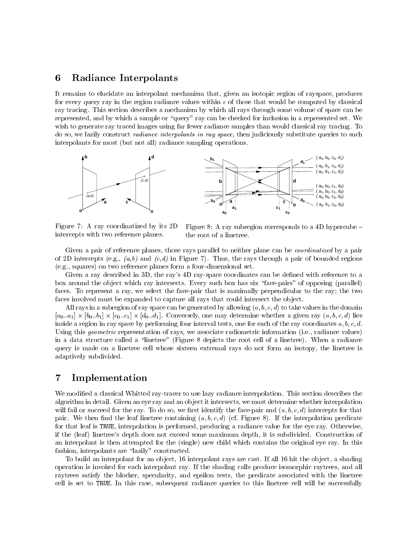## 6 Radiance Interpolants

It remains to elucidate an interpolant mechanism that, given an isotopic region of rayspace, produces for every query ray in the region radiance values within  $\epsilon$  of those that would be computed by classical ray tracing. This section describes a mechanism by which all rays through some volume of space can be represented, and by which a sample or "query" ray can be checked for inclusion in a represented set. We wish to generate ray traced images using far fewer radiance samples than would classical ray tracing. To do so, we lazily construct *radiance interpolants in ray space*, then judiciously substitute queries to such interpolants for most (but not all) radiance sampling operations.



Figure 7: A ray coordinatized by its 2D intercepts with two reference planes.

Figure 8: A ray subregion corresponds to a 4D hypercube  $\overline{\phantom{a}}$ the root of a linetree.

Given a pair of reference planes, those rays parallel to neither plane can be *coordinatized* by a pair of 2D intercepts (e.g.,  $(a,b)$  and  $(c,d)$  in Figure 7). Thus, the rays through a pair of bounded regions (e.g., squares) on two reference planes form a four-dimensional set.

Given a ray described in 3D, the ray's 4D ray-space coordinates can be defined with reference to a box around the object which ray intersects. Every such box has six "face-pairs" of opposing (parallel) faces. To represent a ray, we select the face-pair that is maximally perpendicular to the ray; the two faces involved must be expanded to capture all rays that could intersect the object.

All rays in a subregion of ray space can be generated by allowing  $(a, b, c, d)$  to take values in the domain  $|a_0..a_1| \times |b_0..b_1| \times |c_0..c_1| \times |d_0..d_1|$ . Conversely, one may determine whether a given ray  $(a, b, c, d)$  lies inside a region in ray space by performing four interval tests, one for each of the ray coordinates  $a, b, c, d$ . Using this geometric representation of rays, we associate radiometric information (i.e., radiance values) in a data structure called a "linetree" (Figure 8 depicts the root cell of a linetree). When a radiance query is made on a linetree cell whose sixteen extremal rays do not form an isotopy, the linetree is adaptively subdivided.

#### $\overline{7}$ 7 Implementation

We modified a classical Whitted ray-tracer to use lazy radiance interpolation. This section describes the algorithm in detail. Given an eye ray and an ob ject it intersects, we must determine whether interpolation will fail or succeed for the ray. To do so, we first identify the face-pair and  $(a, b, c, d)$  intercepts for that pair. We then find the leaf linetree containing  $(a, b, c, d)$  (cf. Figure 8). If the interpolation predicate for that leaf is TRUE, interpolation is performed, producing a radiance value for the eye ray. Otherwise, if the (leaf) linetree's depth does not exceed some maximum depth, it is subdivided. Construction of an interpolant is then attempted for the (single) new child which contains the original eye ray. In this fashion, interpolants are "lazily" constructed.

To build an interpolant for an object, 16 interpolant rays are cast. If all 16 hit the object, a shading operation is invoked for each interpolant ray. If the shading calls produce isomorphic raytrees, and all raytrees satisfy the blocker, specularity, and epsilon tests, the predicate associated with the linetree cell is set to TRUE. In this case, subsequent radiance queries to this linetree cell will be successfully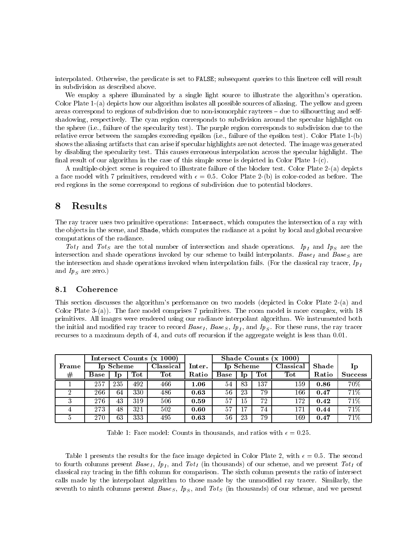interpolated. Otherwise, the predicate is set to FALSE; subsequent queries to this linetree cell will result in subdivision as described above.

We employ a sphere illuminated by a single light source to illustrate the algorithm's operation. Color Plate 1-(a) depicts how our algorithm isolates all possible sources of aliasing. The yellow and green areas correspond to regions of subdivision due to non-isomorphic raytrees  $-$  due to silhouetting and selfshadowing, respectively. The cyan region corresponds to subdivision around the specular highlight on the sphere (i.e., failure of the specularity test). The purple region corresponds to subdivision due to the relative error between the samples exceeding epsilon (i.e., failure of the epsilon test). Color Plate 1-(b) shows the aliasing artifacts that can arise if specular highlights are not detected. The image was generated by disabling the specularity test. This causes erroneous interpolation across the specular highlight. The final result of our algorithm in the case of this simple scene is depicted in Color Plate  $1-(c)$ .

A multiple-ob ject scene is required to illustrate failure of the blocker test. Color Plate 2-(a) depicts a face model with 7 primitives, rendered with  $\epsilon = 0.5$ . Color Plate 2-(b) is color-coded as before. The red regions in the scene correspond to regions of subdivision due to potential blockers.

## 8 Results

The ray tracer uses two primitive operations: Intersect, which computes the intersection of a ray with the ob jects in the scene, and Shade, which computes the radiance at a point by local and global recursive computations of the radiance.

Total and Total and the total number of intersection and shade operations. Ipin  $\mathbf{r}_1$  and  $\mathbf{r}_S$  are the the intersection and shade operations invoked by our scheme to build interpolants. Base <sup>I</sup> and Base <sup>S</sup> are the intersection and shade operations invoked when interpolation fails. (For the classical ray tracer,  $I_{p_1}$ and  $I_{PS}$  are zero.)

### 8.1 Coherence

This section discusses the algorithm's performance on two models (depicted in Color Plate 2-(a) and Color Plate 3-(a)). The face model comprises 7 primitives. The room model is more complex, with 18 primitives. All images were rendered using our radiance interpolant algorithm. We instrumented both the initial and modified ray tracer to record Base I , Base  $S$  , IpI , and I  $p$  . For the ray tracer runs, the rate  $\sim$ recurses to a maximum depth of 4, and cuts off recursion if the aggregate weight is less than 0.01.

|         |      |           |                      | Intersect Counts (x 1000) |            |             |                |     | Shade Counts (x 1000) |       |                |
|---------|------|-----------|----------------------|---------------------------|------------|-------------|----------------|-----|-----------------------|-------|----------------|
| Frame   |      | Ip Scheme |                      | Classical                 | Inter.     |             | Ip Scheme      |     | Classical             | Shade | Īр             |
| $^{\#}$ | Base | 1p.       | $\operatorname{Tot}$ | $\operatorname{Tot}$      | Ratio      | <b>Base</b> | 1 <sub>D</sub> | Tot | Tot                   | Ratio | <b>Success</b> |
|         | 257  | 235       | 492                  | 466                       | $\bf 1.06$ | 54          | 83             | 137 | 159                   | 0.86  | 70%            |
|         | 266  | 64        | 330                  | 486                       | 0.63       | 56          | 23             | 79  | 166                   | 0.47  | 71\%           |
|         | 276. | 43        | 319                  | 506                       | 0.59       | 57          | - 15           | 72  | 172                   | 0.42  | 71\%           |
|         | 273  | 48        | 321                  | 502                       | 0.60       |             |                | 74  |                       | 0.44  | 71\%           |
|         | 270  | 63        | 333                  | 495                       | 0.63       | 56          | 23             | 79  | 169                   | 0.47  | 71\%           |

Table 1: Face model: Counts in thousands, and ratios with  $\epsilon = 0.25$ .

Table 1 presents the results for the face image depicted in Color Plate 2, with  $\epsilon = 0.5$ . The second  $t_{\rm c}$  fourth columns present Base I;  $\mathcal{I}_{I}$  , and  $\mathcal{I}_{V}$  (in thousands) or our scheme, and we present Tot I of classical ray tracing in the fth column for comparison. The sixth column presents the ratio of intersect calls made by the interpolant algorithm to those made by the unmodied ray tracer. Similarly, the seventh to ninth columns present Base  $S$  , IpS , and Total (in thousands) of our scheme, and we present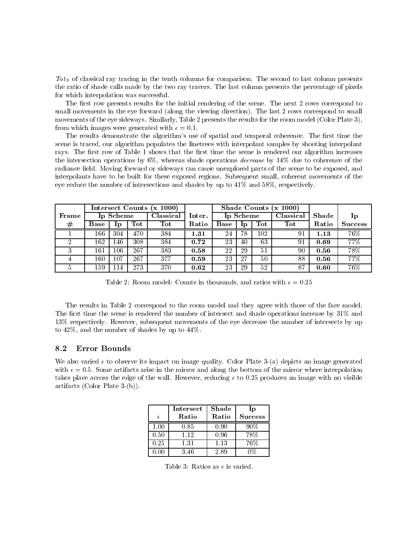Tot <sup>S</sup> of classical ray tracing in the tenth columns for comparison. The second to last column presents the ratio of shade calls made by the two ray tracers. The last column presents the percentage of pixels for which interpolation was successful.

The first row presents results for the initial rendering of the scene. The next 2 rows correspond to small movements in the eye forward (along the viewing direction). The last 2 rows correspond to small movements of the eye sideways. Similarly, Table 2 presents the results for the room model (Color Plate 3), from which images were generated with  $\epsilon = 0.1$ .

The results demonstrate the algorithm's use of spatial and temporal coherence. The first time the scene is traced, our algorithm populates the linetrees with interpolant samples by shooting interpolant rays. The first row of Table 1 shows that the first time the scene is rendered our algorithm increases the intersection operations by 6%, whereas shade operations decrease by 14% due to coherence of the radiance field. Moving forward or sideways can cause unexplored parts of the scene to be exposed, and interpolants have to be built for these exposed regions. Subsequent small, coherent movements of the eye reduce the number of intersections and shades by up to 41% and 58%, respectively.

|       |       |                |     | Intersect Counts (x 1000) |          |             |                |                | Shade Counts (x 1000) |          |                |
|-------|-------|----------------|-----|---------------------------|----------|-------------|----------------|----------------|-----------------------|----------|----------------|
| Frame |       | Ip Scheme      |     | Classical                 | Inter.   |             | Ip Scheme      |                | Classical             | Shade    | Ip             |
| #     | Base  | 1 <sub>D</sub> | Tot | Tot                       | Ratio    | <b>Base</b> | 1 <sub>p</sub> | $\mathbf{Tot}$ | Tot                   | Ratio    | <b>Success</b> |
|       | 166   | 304            | 470 | 384                       | $1.31\,$ | 24          | 78             | 102            | 91                    | $1.13\,$ | 76%            |
| ച     | 162   | 146-           | 308 | 384                       | 0.72     | 23          | 40             | 63             | 91                    | 0.69     | 77%            |
| 3     | 161   | 106            | 267 | 383                       | 0.58     | 22          | 29             | 51             | 90                    | 0.56     | 78%            |
|       | l 60. | 107            | 267 | 377                       | 0.59     | 23          | -27            | 50             | 88                    | 0.56     | 77%            |
| b     | 159.  | 114            | 273 | 370                       | 0.62     | 23          | 29             | 52             | 87                    | 0.60     | $76\%$         |

Table 2: Room model: Counts in thousands, and ratios with  $\epsilon = 0.25$ 

The results in Table 2 correspond to the room model and they agree with those of the face model. The first time the scene is rendered the number of intersect and shade operations increase by  $31\%$  and 13% respectively. However, subsequent movements of the eye decrease the number of intersects by up to 42%, and the number of shades by up to 44%.

### 8.2 Error Bounds

We also varied  $\epsilon$  to observe its impact on image quality. Color Plate 3-(a) depicts an image generated with  $\epsilon = 0.5$ . Some artifacts arise in the mirror and along the bottom of the mirror where interpolation takes place across the edge of the wall. However, reducing  $\epsilon$  to 0.25 produces an image with no visible artifacts (Color Plate 3-(b)).

|            | Intersect | Shade | Ip             |  |
|------------|-----------|-------|----------------|--|
| $\epsilon$ | Ratio     | Ratio | <b>Success</b> |  |
| 1.00       | 0.85      | 0.90  | $90\%$         |  |
| 0.50       | 1.12      | 0.96  | 78%            |  |
| 0.25       | 1.31      | 1.13  | 76%            |  |
|            | 3.46      | 2.89  |                |  |

Table 3: Ratios as  $\epsilon$  is varied.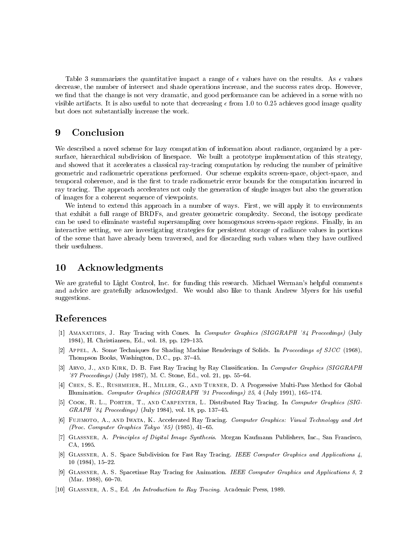Table 3 summarizes the quantitative impact a range of  $\epsilon$  values have on the results. As  $\epsilon$  values decrease, the number of intersect and shade operations increase, and the success rates drop. However, we find that the change is not very dramatic, and good performance can be achieved in a scene with no visible artifacts. It is also useful to note that decreasing  $\epsilon$  from 1.0 to 0.25 achieves good image quality but does not substantially increase the work.

#### 9 **Conclusion**

We described a novel scheme for lazy computation of information about radiance, organized by a persurface, hierarchical subdivision of linespace. We built a prototype implementation of this strategy, and showed that it accelerates a classical ray-tracing computation by reducing the number of primitive geometric and radiometric operations performed. Our scheme exploits screen-space, ob ject-space, and temporal coherence, and is the first to trade radiometric error bounds for the computation incurred in ray tracing. The approach accelerates not only the generation of single images but also the generation of images for a coherent sequence of viewpoints.

We intend to extend this approach in a number of ways. First, we will apply it to environments that exhibit a full range of BRDFs, and greater geometric complexity. Second, the isotopy predicate can be used to eliminate wasteful supersampling over homogenous screen-space regions. Finally, in an interactive setting, we are investigating strategies for persistent storage of radiance values in portions of the scene that have already been traversed, and for discarding such values when they have outlived their usefulness.

#### 10 Acknowledgments

We are grateful to Light Control, Inc. for funding this research. Michael Werman's helpful comments and advice are gratefully acknowledged. We would also like to thank Andrew Myers for his useful suggestions.

## References

- [1] AMANATIDES, J. Ray Tracing with Cones. In Computer Graphics (SIGGRAPH '84 Proceedings) (July 1984), H. Christiansen, Ed., vol. 18, pp. 129-135.
- [2] Appel, A. Some Techniques for Shading Machine Renderings of Solids. In Proceedings of SJCC (1968), Thompson Books, Washington, D.C., pp. 37–45.
- [3] ARVO, J., AND KIRK, D. B. Fast Ray Tracing by Ray Classification. In Computer Graphics (SIGGRAPH '87 Proceedings) (July 1987), M. C. Stone, Ed., vol. 21, pp. 55-64.
- [4] Chen, S. E., Rushmeier, H., Miller, G., and Turner, D. A Progressive Multi-Pass Method for Global Illumination. Computer Graphics (SIGGRAPH '91 Proceedings)  $25, 4$  (July 1991), 165-174.
- [5] Cook, R. L., Porter, T., and Carpenter, L. Distributed Ray Tracing. In Computer Graphics (SIG- $GRAPH$  '84 Proceedings) (July 1984), vol. 18, pp. 137-45.
- [6] Fujimoto, A., and Iwata, K. Accelerated Ray Tracing. Computer Graphics: Visual Technology and Art (Proc. Computer Graphics Tokyo '85)  $(1985)$ , 41-65.
- [7] Glassner, A. Principles of Digital Image Synthesis. Morgan Kaufmann Publishers, Inc., San Francisco, CA, 1995.
- [8] GLASSNER, A. S. Space Subdivision for Fast Ray Tracing. IEEE Computer Graphics and Applications 4,  $10(1984), 15-22.$
- [9] Glassner, A. S. Spacetime Ray Tracing for Animation. IEEE Computer Graphics and Applications 8, 2  $(Mar. 1988), 60-70.$
- [10] Glassner, A. S., Ed. An Introduction to Ray Tracing. Academic Press, 1989.